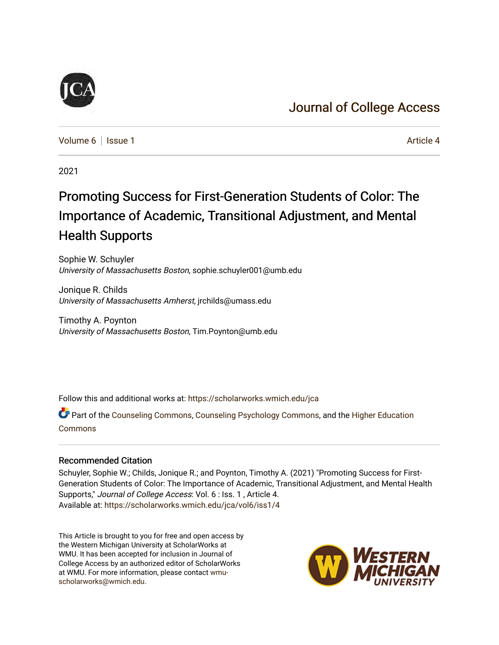## [Journal of College Access](https://scholarworks.wmich.edu/jca)

[Volume 6](https://scholarworks.wmich.edu/jca/vol6) | [Issue 1](https://scholarworks.wmich.edu/jca/vol6/iss1) Article 4

2021

## Promoting Success for First-Generation Students of Color: The Importance of Academic, Transitional Adjustment, and Mental Health Supports

Sophie W. Schuyler University of Massachusetts Boston, sophie.schuyler001@umb.edu

Jonique R. Childs University of Massachusetts Amherst, jrchilds@umass.edu

Timothy A. Poynton University of Massachusetts Boston, Tim.Poynton@umb.edu

Follow this and additional works at: [https://scholarworks.wmich.edu/jca](https://scholarworks.wmich.edu/jca?utm_source=scholarworks.wmich.edu%2Fjca%2Fvol6%2Fiss1%2F4&utm_medium=PDF&utm_campaign=PDFCoverPages)

Part of the [Counseling Commons,](http://network.bepress.com/hgg/discipline/1268?utm_source=scholarworks.wmich.edu%2Fjca%2Fvol6%2Fiss1%2F4&utm_medium=PDF&utm_campaign=PDFCoverPages) [Counseling Psychology Commons,](http://network.bepress.com/hgg/discipline/1044?utm_source=scholarworks.wmich.edu%2Fjca%2Fvol6%2Fiss1%2F4&utm_medium=PDF&utm_campaign=PDFCoverPages) and the [Higher Education](http://network.bepress.com/hgg/discipline/1245?utm_source=scholarworks.wmich.edu%2Fjca%2Fvol6%2Fiss1%2F4&utm_medium=PDF&utm_campaign=PDFCoverPages)  [Commons](http://network.bepress.com/hgg/discipline/1245?utm_source=scholarworks.wmich.edu%2Fjca%2Fvol6%2Fiss1%2F4&utm_medium=PDF&utm_campaign=PDFCoverPages)

#### Recommended Citation

Schuyler, Sophie W.; Childs, Jonique R.; and Poynton, Timothy A. (2021) "Promoting Success for First-Generation Students of Color: The Importance of Academic, Transitional Adjustment, and Mental Health Supports," Journal of College Access: Vol. 6 : Iss. 1 , Article 4. Available at: [https://scholarworks.wmich.edu/jca/vol6/iss1/4](https://scholarworks.wmich.edu/jca/vol6/iss1/4?utm_source=scholarworks.wmich.edu%2Fjca%2Fvol6%2Fiss1%2F4&utm_medium=PDF&utm_campaign=PDFCoverPages) 

This Article is brought to you for free and open access by the Western Michigan University at ScholarWorks at WMU. It has been accepted for inclusion in Journal of College Access by an authorized editor of ScholarWorks at WMU. For more information, please contact [wmu](mailto:wmu-scholarworks@wmich.edu)[scholarworks@wmich.edu.](mailto:wmu-scholarworks@wmich.edu)



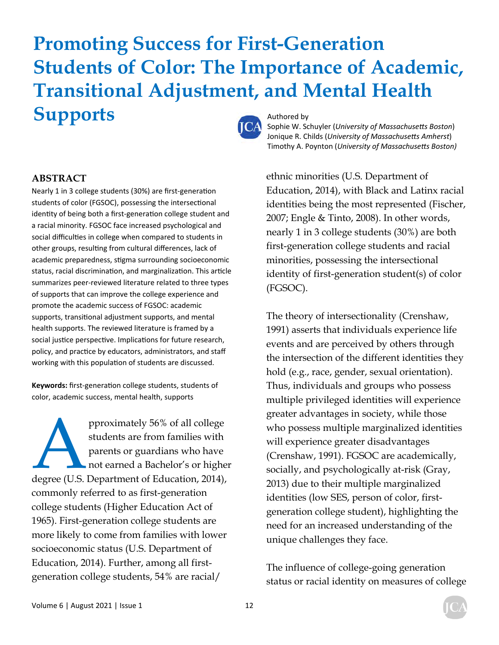# **Promoting Success for First-Generation Students of Color: The Importance of Academic, Transitional Adjustment, and Mental Health Supports** Authored by



Sophie W. Schuyler (*University of Massachusetts Boston*) Jonique R. Childs (*University of Massachusetts Amherst*) Timothy A. Poynton (*University of MassachuseƩs Boston)*

#### **ABSTRACT**

Nearly 1 in 3 college students (30%) are first-generation students of color (FGSOC), possessing the intersectional identity of being both a first-generation college student and a racial minority. FGSOC face increased psychological and social difficulties in college when compared to students in other groups, resulting from cultural differences, lack of academic preparedness, stigma surrounding socioeconomic status, racial discrimination, and marginalization. This article summarizes peer‐reviewed literature related to three types of supports that can improve the college experience and promote the academic success of FGSOC: academic supports, transitional adjustment supports, and mental health supports. The reviewed literature is framed by a social justice perspective. Implications for future research, policy, and practice by educators, administrators, and staff working with this population of students are discussed.

Keywords: first-generation college students, students of color, academic success, mental health, supports

pproximately 56% of all college<br>
students are from families with<br>
parents or guardians who have<br>
not earned a Bachelor's or higher<br>
degree (U.S. Department of Education, 2014), students are from families with parents or guardians who have not earned a Bachelor's or higher commonly referred to as first-generation college students (Higher Education Act of 1965). First-generation college students are more likely to come from families with lower socioeconomic status (U.S. Department of Education, 2014). Further, among all firstgeneration college students, 54% are racial/

ethnic minorities (U.S. Department of Education, 2014), with Black and Latinx racial identities being the most represented (Fischer, 2007; Engle & Tinto, 2008). In other words, nearly 1 in 3 college students (30%) are both first-generation college students and racial minorities, possessing the intersectional identity of first-generation student(s) of color (FGSOC).

The theory of intersectionality (Crenshaw, 1991) asserts that individuals experience life events and are perceived by others through the intersection of the different identities they hold (e.g., race, gender, sexual orientation). Thus, individuals and groups who possess multiple privileged identities will experience greater advantages in society, while those who possess multiple marginalized identities will experience greater disadvantages (Crenshaw, 1991). FGSOC are academically, socially, and psychologically at-risk (Gray, 2013) due to their multiple marginalized identities (low SES, person of color, firstgeneration college student), highlighting the need for an increased understanding of the unique challenges they face.

The influence of college-going generation status or racial identity on measures of college

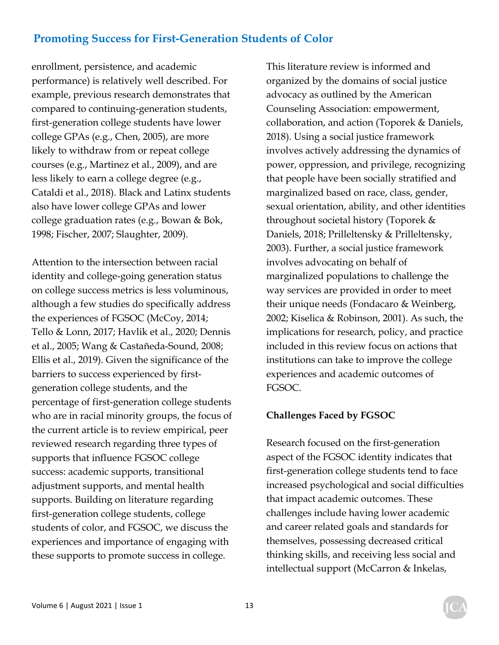enrollment, persistence, and academic performance) is relatively well described. For example, previous research demonstrates that compared to continuing-generation students, first-generation college students have lower college GPAs (e.g., Chen, 2005), are more likely to withdraw from or repeat college courses (e.g., Martinez et al., 2009), and are less likely to earn a college degree (e.g., Cataldi et al., 2018). Black and Latinx students also have lower college GPAs and lower college graduation rates (e.g., Bowan & Bok, 1998; Fischer, 2007; Slaughter, 2009).

Attention to the intersection between racial identity and college-going generation status on college success metrics is less voluminous, although a few studies do specifically address the experiences of FGSOC (McCoy, 2014; Tello & Lonn, 2017; Havlik et al., 2020; Dennis et al., 2005; Wang & Castañeda-Sound, 2008; Ellis et al., 2019). Given the significance of the barriers to success experienced by firstgeneration college students, and the percentage of first-generation college students who are in racial minority groups, the focus of the current article is to review empirical, peer reviewed research regarding three types of supports that influence FGSOC college success: academic supports, transitional adjustment supports, and mental health supports. Building on literature regarding first-generation college students, college students of color, and FGSOC, we discuss the experiences and importance of engaging with these supports to promote success in college.

This literature review is informed and organized by the domains of social justice advocacy as outlined by the American Counseling Association: empowerment, collaboration, and action (Toporek & Daniels, 2018). Using a social justice framework involves actively addressing the dynamics of power, oppression, and privilege, recognizing that people have been socially stratified and marginalized based on race, class, gender, sexual orientation, ability, and other identities throughout societal history (Toporek & Daniels, 2018; Prilleltensky & Prilleltensky, 2003). Further, a social justice framework involves advocating on behalf of marginalized populations to challenge the way services are provided in order to meet their unique needs (Fondacaro & Weinberg, 2002; Kiselica & Robinson, 2001). As such, the implications for research, policy, and practice included in this review focus on actions that institutions can take to improve the college experiences and academic outcomes of FGSOC.

#### **Challenges Faced by FGSOC**

Research focused on the first-generation aspect of the FGSOC identity indicates that first-generation college students tend to face increased psychological and social difficulties that impact academic outcomes. These challenges include having lower academic and career related goals and standards for themselves, possessing decreased critical thinking skills, and receiving less social and intellectual support (McCarron & Inkelas,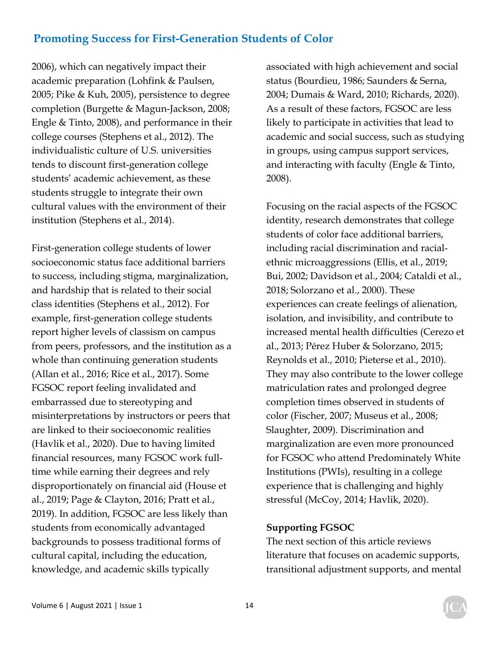2006), which can negatively impact their academic preparation (Lohfink & Paulsen, 2005; Pike & Kuh, 2005), persistence to degree completion (Burgette & Magun-Jackson, 2008; Engle & Tinto, 2008), and performance in their college courses (Stephens et al., 2012). The individualistic culture of U.S. universities tends to discount first-generation college students' academic achievement, as these students struggle to integrate their own cultural values with the environment of their institution (Stephens et al., 2014).

First-generation college students of lower socioeconomic status face additional barriers to success, including stigma, marginalization, and hardship that is related to their social class identities (Stephens et al., 2012). For example, first-generation college students report higher levels of classism on campus from peers, professors, and the institution as a whole than continuing generation students (Allan et al., 2016; Rice et al., 2017). Some FGSOC report feeling invalidated and embarrassed due to stereotyping and misinterpretations by instructors or peers that are linked to their socioeconomic realities (Havlik et al., 2020). Due to having limited financial resources, many FGSOC work fulltime while earning their degrees and rely disproportionately on financial aid (House et al., 2019; Page & Clayton, 2016; Pratt et al., 2019). In addition, FGSOC are less likely than students from economically advantaged backgrounds to possess traditional forms of cultural capital, including the education, knowledge, and academic skills typically

associated with high achievement and social status (Bourdieu, 1986; Saunders & Serna, 2004; Dumais & Ward, 2010; Richards, 2020). As a result of these factors, FGSOC are less likely to participate in activities that lead to academic and social success, such as studying in groups, using campus support services, and interacting with faculty (Engle & Tinto, 2008).

Focusing on the racial aspects of the FGSOC identity, research demonstrates that college students of color face additional barriers, including racial discrimination and racialethnic microaggressions (Ellis, et al., 2019; Bui, 2002; Davidson et al., 2004; Cataldi et al., 2018; Solorzano et al., 2000). These experiences can create feelings of alienation, isolation, and invisibility, and contribute to increased mental health difficulties (Cerezo et al., 2013; Pérez Huber & Solorzano, 2015; Reynolds et al., 2010; Pieterse et al., 2010). They may also contribute to the lower college matriculation rates and prolonged degree completion times observed in students of color (Fischer, 2007; Museus et al., 2008; Slaughter, 2009). Discrimination and marginalization are even more pronounced for FGSOC who attend Predominately White Institutions (PWIs), resulting in a college experience that is challenging and highly stressful (McCoy, 2014; Havlik, 2020).

#### **Supporting FGSOC**

The next section of this article reviews literature that focuses on academic supports, transitional adjustment supports, and mental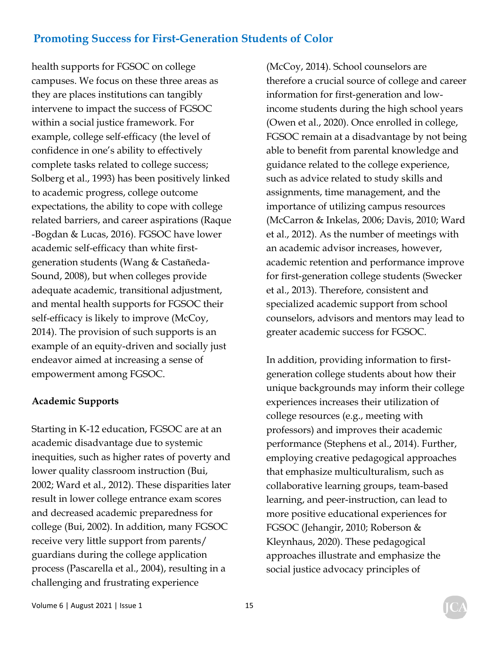health supports for FGSOC on college campuses. We focus on these three areas as they are places institutions can tangibly intervene to impact the success of FGSOC within a social justice framework. For example, college self-efficacy (the level of confidence in one's ability to effectively complete tasks related to college success; Solberg et al., 1993) has been positively linked to academic progress, college outcome expectations, the ability to cope with college related barriers, and career aspirations (Raque -Bogdan & Lucas, 2016). FGSOC have lower academic self-efficacy than white firstgeneration students (Wang & Castañeda-Sound, 2008), but when colleges provide adequate academic, transitional adjustment, and mental health supports for FGSOC their self-efficacy is likely to improve (McCoy, 2014). The provision of such supports is an example of an equity-driven and socially just endeavor aimed at increasing a sense of empowerment among FGSOC.

### **Academic Supports**

Starting in K-12 education, FGSOC are at an academic disadvantage due to systemic inequities, such as higher rates of poverty and lower quality classroom instruction (Bui, 2002; Ward et al., 2012). These disparities later result in lower college entrance exam scores and decreased academic preparedness for college (Bui, 2002). In addition, many FGSOC receive very little support from parents/ guardians during the college application process (Pascarella et al., 2004), resulting in a challenging and frustrating experience

(McCoy, 2014). School counselors are therefore a crucial source of college and career information for first-generation and lowincome students during the high school years (Owen et al., 2020). Once enrolled in college, FGSOC remain at a disadvantage by not being able to benefit from parental knowledge and guidance related to the college experience, such as advice related to study skills and assignments, time management, and the importance of utilizing campus resources (McCarron & Inkelas, 2006; Davis, 2010; Ward et al., 2012). As the number of meetings with an academic advisor increases, however, academic retention and performance improve for first-generation college students (Swecker et al., 2013). Therefore, consistent and specialized academic support from school counselors, advisors and mentors may lead to greater academic success for FGSOC.

In addition, providing information to firstgeneration college students about how their unique backgrounds may inform their college experiences increases their utilization of college resources (e.g., meeting with professors) and improves their academic performance (Stephens et al., 2014). Further, employing creative pedagogical approaches that emphasize multiculturalism, such as collaborative learning groups, team-based learning, and peer-instruction, can lead to more positive educational experiences for FGSOC (Jehangir, 2010; Roberson & Kleynhaus, 2020). These pedagogical approaches illustrate and emphasize the social justice advocacy principles of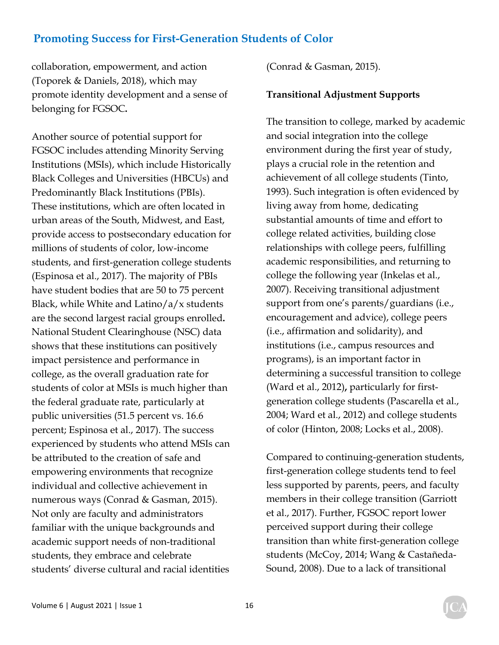collaboration, empowerment, and action (Toporek & Daniels, 2018), which may promote identity development and a sense of belonging for FGSOC**.** 

Another source of potential support for FGSOC includes attending Minority Serving Institutions (MSIs), which include Historically Black Colleges and Universities (HBCUs) and Predominantly Black Institutions (PBIs). These institutions, which are often located in urban areas of the South, Midwest, and East, provide access to postsecondary education for millions of students of color, low-income students, and first-generation college students (Espinosa et al., 2017). The majority of PBIs have student bodies that are 50 to 75 percent Black, while White and Latino/a/x students are the second largest racial groups enrolled**.**  National Student Clearinghouse (NSC) data shows that these institutions can positively impact persistence and performance in college, as the overall graduation rate for students of color at MSIs is much higher than the federal graduate rate, particularly at public universities (51.5 percent vs. 16.6 percent; Espinosa et al., 2017). The success experienced by students who attend MSIs can be attributed to the creation of safe and empowering environments that recognize individual and collective achievement in numerous ways (Conrad & Gasman, 2015). Not only are faculty and administrators familiar with the unique backgrounds and academic support needs of non-traditional students, they embrace and celebrate students' diverse cultural and racial identities

(Conrad & Gasman, 2015).

#### **Transitional Adjustment Supports**

The transition to college, marked by academic and social integration into the college environment during the first year of study, plays a crucial role in the retention and achievement of all college students (Tinto, 1993). Such integration is often evidenced by living away from home, dedicating substantial amounts of time and effort to college related activities, building close relationships with college peers, fulfilling academic responsibilities, and returning to college the following year (Inkelas et al., 2007). Receiving transitional adjustment support from one's parents/guardians (i.e., encouragement and advice), college peers (i.e., affirmation and solidarity), and institutions (i.e., campus resources and programs), is an important factor in determining a successful transition to college (Ward et al., 2012)**,** particularly for firstgeneration college students (Pascarella et al., 2004; Ward et al., 2012) and college students of color (Hinton, 2008; Locks et al., 2008).

Compared to continuing-generation students, first-generation college students tend to feel less supported by parents, peers, and faculty members in their college transition (Garriott et al., 2017). Further, FGSOC report lower perceived support during their college transition than white first-generation college students (McCoy, 2014; Wang & Castañeda-Sound, 2008). Due to a lack of transitional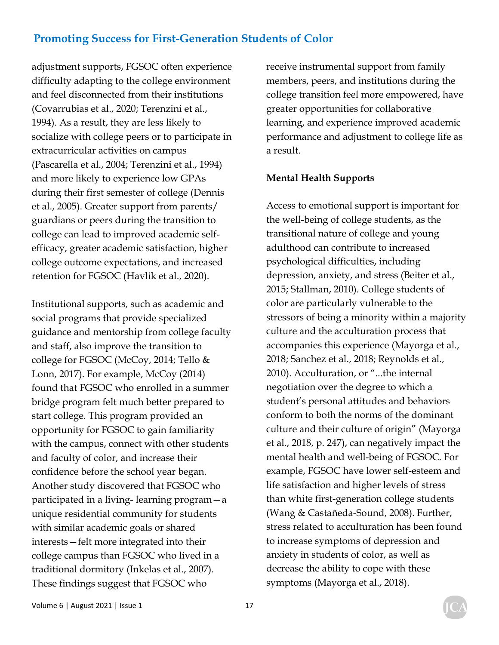adjustment supports, FGSOC often experience difficulty adapting to the college environment and feel disconnected from their institutions (Covarrubias et al., 2020; Terenzini et al., 1994). As a result, they are less likely to socialize with college peers or to participate in extracurricular activities on campus (Pascarella et al., 2004; Terenzini et al., 1994) and more likely to experience low GPAs during their first semester of college (Dennis et al., 2005). Greater support from parents/ guardians or peers during the transition to college can lead to improved academic selfefficacy, greater academic satisfaction, higher college outcome expectations, and increased retention for FGSOC (Havlik et al., 2020).

Institutional supports, such as academic and social programs that provide specialized guidance and mentorship from college faculty and staff, also improve the transition to college for FGSOC (McCoy, 2014; Tello & Lonn, 2017). For example, McCoy (2014) found that FGSOC who enrolled in a summer bridge program felt much better prepared to start college. This program provided an opportunity for FGSOC to gain familiarity with the campus, connect with other students and faculty of color, and increase their confidence before the school year began. Another study discovered that FGSOC who participated in a living- learning program—a unique residential community for students with similar academic goals or shared interests—felt more integrated into their college campus than FGSOC who lived in a traditional dormitory (Inkelas et al., 2007). These findings suggest that FGSOC who

receive instrumental support from family members, peers, and institutions during the college transition feel more empowered, have greater opportunities for collaborative learning, and experience improved academic performance and adjustment to college life as a result.

#### **Mental Health Supports**

Access to emotional support is important for the well-being of college students, as the transitional nature of college and young adulthood can contribute to increased psychological difficulties, including depression, anxiety, and stress (Beiter et al., 2015; Stallman, 2010). College students of color are particularly vulnerable to the stressors of being a minority within a majority culture and the acculturation process that accompanies this experience (Mayorga et al., 2018; Sanchez et al., 2018; Reynolds et al., 2010). Acculturation, or "...the internal negotiation over the degree to which a student's personal attitudes and behaviors conform to both the norms of the dominant culture and their culture of origin" (Mayorga et al., 2018, p. 247), can negatively impact the mental health and well-being of FGSOC. For example, FGSOC have lower self-esteem and life satisfaction and higher levels of stress than white first-generation college students (Wang & Castañeda-Sound, 2008). Further, stress related to acculturation has been found to increase symptoms of depression and anxiety in students of color, as well as decrease the ability to cope with these symptoms (Mayorga et al., 2018).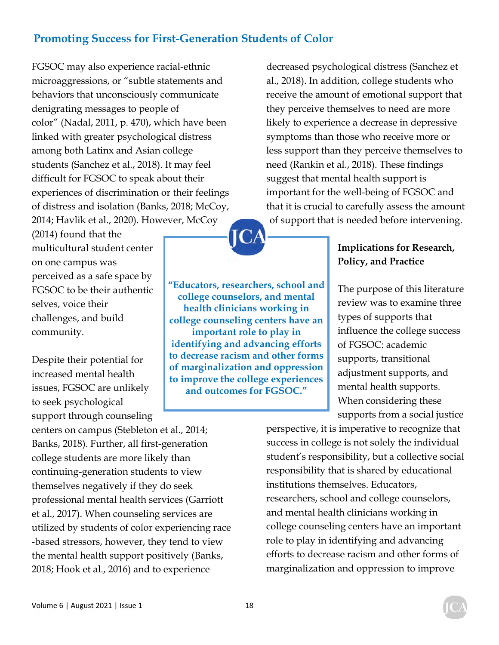FGSOC may also experience racial-ethnic microaggressions, or "subtle statements and behaviors that unconsciously communicate denigrating messages to people of color" (Nadal, 2011, p. 470), which have been linked with greater psychological distress among both Latinx and Asian college students (Sanchez et al., 2018). It may feel difficult for FGSOC to speak about their experiences of discrimination or their feelings of distress and isolation (Banks, 2018; McCoy, 2014; Havlik et al., 2020). However, McCoy

(2014) found that the multicultural student center on one campus was perceived as a safe space by FGSOC to be their authentic selves, voice their challenges, and build community.

Despite their potential for increased mental health issues, FGSOC are unlikely to seek psychological support through counseling

centers on campus (Stebleton et al., 2014; Banks, 2018). Further, all first-generation college students are more likely than continuing-generation students to view themselves negatively if they do seek professional mental health services (Garriott et al., 2017). When counseling services are utilized by students of color experiencing race -based stressors, however, they tend to view the mental health support positively (Banks, 2018; Hook et al., 2016) and to experience

decreased psychological distress (Sanchez et al., 2018). In addition, college students who receive the amount of emotional support that they perceive themselves to need are more likely to experience a decrease in depressive symptoms than those who receive more or less support than they perceive themselves to need (Rankin et al., 2018). These findings suggest that mental health support is important for the well-being of FGSOC and that it is crucial to carefully assess the amount of support that is needed before intervening.

> **Implications for Research, Policy, and Practice**

The purpose of this literature review was to examine three types of supports that influence the college success of FGSOC: academic supports, transitional adjustment supports, and mental health supports. When considering these supports from a social justice

perspective, it is imperative to recognize that success in college is not solely the individual student's responsibility, but a collective social responsibility that is shared by educational institutions themselves. Educators, researchers, school and college counselors, and mental health clinicians working in college counseling centers have an important role to play in identifying and advancing efforts to decrease racism and other forms of marginalization and oppression to improve

**"Educators, researchers, school and college counselors, and mental health clinicians working in college counseling centers have an important role to play in identifying and advancing efforts to decrease racism and other forms of marginalization and oppression to improve the college experiences and outcomes for FGSOC."**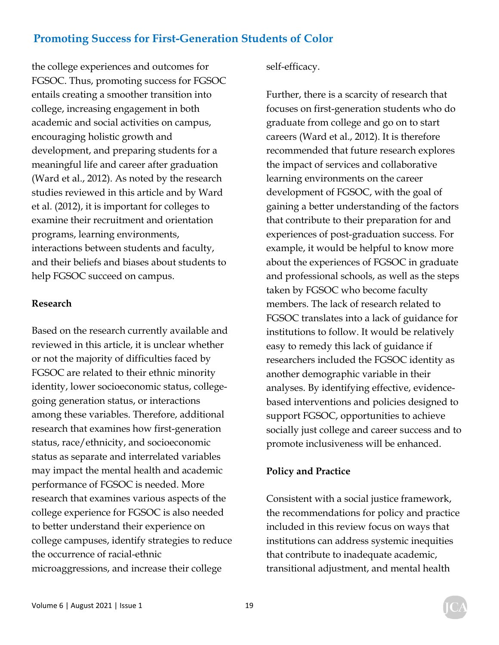the college experiences and outcomes for FGSOC. Thus, promoting success for FGSOC entails creating a smoother transition into college, increasing engagement in both academic and social activities on campus, encouraging holistic growth and development, and preparing students for a meaningful life and career after graduation (Ward et al., 2012). As noted by the research studies reviewed in this article and by Ward et al. (2012), it is important for colleges to examine their recruitment and orientation programs, learning environments, interactions between students and faculty, and their beliefs and biases about students to help FGSOC succeed on campus.

#### **Research**

Based on the research currently available and reviewed in this article, it is unclear whether or not the majority of difficulties faced by FGSOC are related to their ethnic minority identity, lower socioeconomic status, collegegoing generation status, or interactions among these variables. Therefore, additional research that examines how first-generation status, race/ethnicity, and socioeconomic status as separate and interrelated variables may impact the mental health and academic performance of FGSOC is needed. More research that examines various aspects of the college experience for FGSOC is also needed to better understand their experience on college campuses, identify strategies to reduce the occurrence of racial-ethnic microaggressions, and increase their college

self-efficacy.

Further, there is a scarcity of research that focuses on first-generation students who do graduate from college and go on to start careers (Ward et al., 2012). It is therefore recommended that future research explores the impact of services and collaborative learning environments on the career development of FGSOC, with the goal of gaining a better understanding of the factors that contribute to their preparation for and experiences of post-graduation success. For example, it would be helpful to know more about the experiences of FGSOC in graduate and professional schools, as well as the steps taken by FGSOC who become faculty members. The lack of research related to FGSOC translates into a lack of guidance for institutions to follow. It would be relatively easy to remedy this lack of guidance if researchers included the FGSOC identity as another demographic variable in their analyses. By identifying effective, evidencebased interventions and policies designed to support FGSOC, opportunities to achieve socially just college and career success and to promote inclusiveness will be enhanced.

#### **Policy and Practice**

Consistent with a social justice framework, the recommendations for policy and practice included in this review focus on ways that institutions can address systemic inequities that contribute to inadequate academic, transitional adjustment, and mental health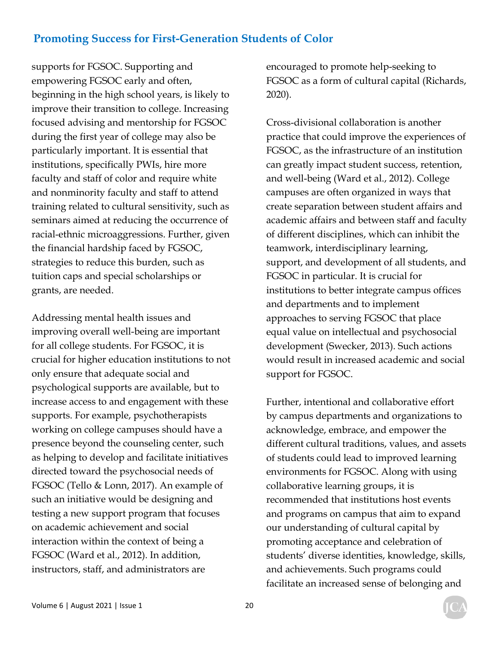supports for FGSOC. Supporting and empowering FGSOC early and often, beginning in the high school years, is likely to improve their transition to college. Increasing focused advising and mentorship for FGSOC during the first year of college may also be particularly important. It is essential that institutions, specifically PWIs, hire more faculty and staff of color and require white and nonminority faculty and staff to attend training related to cultural sensitivity, such as seminars aimed at reducing the occurrence of racial-ethnic microaggressions. Further, given the financial hardship faced by FGSOC, strategies to reduce this burden, such as tuition caps and special scholarships or grants, are needed.

Addressing mental health issues and improving overall well-being are important for all college students. For FGSOC, it is crucial for higher education institutions to not only ensure that adequate social and psychological supports are available, but to increase access to and engagement with these supports. For example, psychotherapists working on college campuses should have a presence beyond the counseling center, such as helping to develop and facilitate initiatives directed toward the psychosocial needs of FGSOC (Tello & Lonn, 2017). An example of such an initiative would be designing and testing a new support program that focuses on academic achievement and social interaction within the context of being a FGSOC (Ward et al., 2012). In addition, instructors, staff, and administrators are

encouraged to promote help-seeking to FGSOC as a form of cultural capital (Richards, 2020).

Cross-divisional collaboration is another practice that could improve the experiences of FGSOC, as the infrastructure of an institution can greatly impact student success, retention, and well-being (Ward et al., 2012). College campuses are often organized in ways that create separation between student affairs and academic affairs and between staff and faculty of different disciplines, which can inhibit the teamwork, interdisciplinary learning, support, and development of all students, and FGSOC in particular. It is crucial for institutions to better integrate campus offices and departments and to implement approaches to serving FGSOC that place equal value on intellectual and psychosocial development (Swecker, 2013). Such actions would result in increased academic and social support for FGSOC.

Further, intentional and collaborative effort by campus departments and organizations to acknowledge, embrace, and empower the different cultural traditions, values, and assets of students could lead to improved learning environments for FGSOC. Along with using collaborative learning groups, it is recommended that institutions host events and programs on campus that aim to expand our understanding of cultural capital by promoting acceptance and celebration of students' diverse identities, knowledge, skills, and achievements. Such programs could facilitate an increased sense of belonging and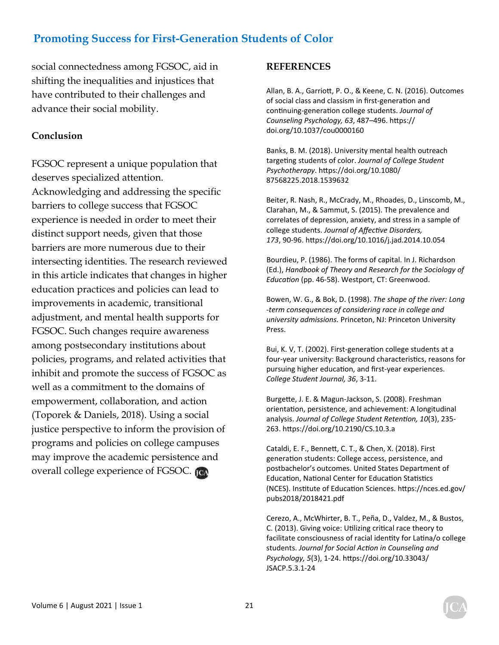social connectedness among FGSOC, aid in shifting the inequalities and injustices that have contributed to their challenges and advance their social mobility.

#### **Conclusion**

FGSOC represent a unique population that deserves specialized attention. Acknowledging and addressing the specific barriers to college success that FGSOC experience is needed in order to meet their distinct support needs, given that those barriers are more numerous due to their intersecting identities. The research reviewed in this article indicates that changes in higher education practices and policies can lead to improvements in academic, transitional adjustment, and mental health supports for FGSOC. Such changes require awareness among postsecondary institutions about policies, programs, and related activities that inhibit and promote the success of FGSOC as well as a commitment to the domains of empowerment, collaboration, and action (Toporek & Daniels, 2018). Using a social justice perspective to inform the provision of programs and policies on college campuses may improve the academic persistence and overall college experience of FGSOC.

#### **REFERENCES**

Allan, B. A., Garriott, P. O., & Keene, C. N. (2016). Outcomes of social class and classism in first-generation and continuing-generation college students. *Journal of Counseling Psychology, 63*, 487–496. hƩps:// doi.org/10.1037/cou0000160

Banks, B. M. (2018). University mental health outreach targeƟng students of color. *Journal of College Student Psychotherapy*. hƩps://doi.org/10.1080/ 87568225.2018.1539632

Beiter, R. Nash, R., McCrady, M., Rhoades, D., Linscomb, M., Clarahan, M., & Sammut, S. (2015). The prevalence and correlates of depression, anxiety, and stress in a sample of college students. *Journal of AffecƟve Disorders, 173*, 90‐96. hƩps://doi.org/10.1016/j.jad.2014.10.054

Bourdieu, P. (1986). The forms of capital. In J. Richardson (Ed.), *Handbook of Theory and Research for the Sociology of EducaƟon* (pp. 46‐58). Westport, CT: Greenwood.

Bowen, W. G., & Bok, D. (1998). *The shape of the river: Long ‐term consequences of considering race in college and university admissions.* Princeton, NJ: Princeton University Press.

Bui, K. V, T. (2002). First-generation college students at a four-year university: Background characteristics, reasons for pursuing higher education, and first-year experiences. *College Student Journal, 36*, 3‐11.

Burgette, J. E. & Magun-Jackson, S. (2008). Freshman orientation, persistence, and achievement: A longitudinal analysis. *Journal of College Student Retention, 10*(3), 235-263. https://doi.org/10.2190/CS.10.3.a

Cataldi, E. F., BenneƩ, C. T., & Chen, X. (2018). First generation students: College access, persistence, and postbachelor's outcomes. United States Department of Education, National Center for Education Statistics (NCES). InsƟtute of EducaƟon Sciences. hƩps://nces.ed.gov/ pubs2018/2018421.pdf

Cerezo, A., McWhirter, B. T., Peña, D., Valdez, M., & Bustos, C. (2013). Giving voice: Utilizing critical race theory to facilitate consciousness of racial identity for Latina/o college students. *Journal for Social AcƟon in Counseling and Psychology, 5*(3), 1‐24. hƩps://doi.org/10.33043/ JSACP.5.3.1‐24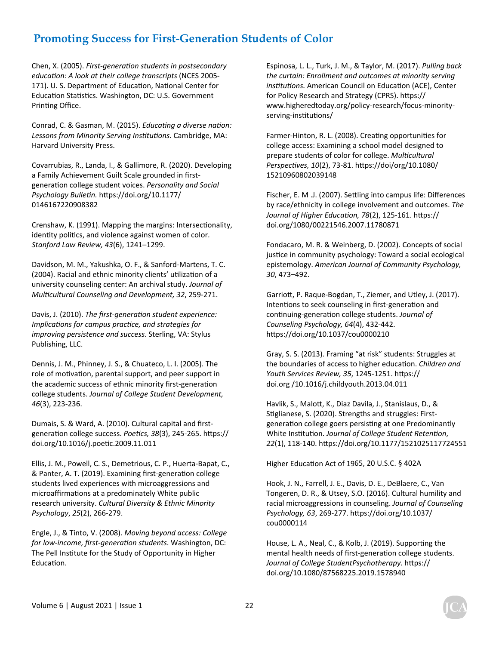Chen, X. (2005). *First‐generaƟon students in postsecondary educaƟon: A look at their college transcripts* (NCES 2005‐ 171). U. S. Department of Education, National Center for Education Statistics. Washington, DC: U.S. Government Printing Office.

Conrad, C. & Gasman, M. (2015). *EducaƟng a diverse naƟon: Lessons from Minority Serving InsƟtuƟons.* Cambridge, MA: Harvard University Press.

Covarrubias, R., Landa, I., & Gallimore, R. (2020). Developing a Family Achievement Guilt Scale grounded in first‐ generaƟon college student voices. *Personality and Social Psychology BulleƟn.* hƩps://doi.org/10.1177/ 0146167220908382

Crenshaw, K. (1991). Mapping the margins: Intersectionality, identity politics, and violence against women of color. *Stanford Law Review, 43*(6), 1241–1299.

Davidson, M. M., Yakushka, O. F., & Sanford‐Martens, T. C. (2004). Racial and ethnic minority clients' utilization of a university counseling center: An archival study. *Journal of MulƟcultural Counseling and Development, 32*, 259‐271.

Davis, J. (2010). *The first-generation student experience: Implications for campus practice, and strategies for improving persistence and success.* Sterling, VA: Stylus Publishing, LLC.

Dennis, J. M., Phinney, J. S., & Chuateco, L. I. (2005). The role of motivation, parental support, and peer support in the academic success of ethnic minority first-generation college students. *Journal of College Student Development, 46*(3), 223‐236.

Dumais, S. & Ward, A. (2010). Cultural capital and first‐ generation college success. Poetics, 38(3), 245-265. https:// doi.org/10.1016/j.poeƟc.2009.11.011

Ellis, J. M., Powell, C. S., Demetrious, C. P., Huerta‐Bapat, C., & Panter, A. T. (2019). Examining first-generation college students lived experiences with microaggressions and microaffirmations at a predominately White public research university. *Cultural Diversity & Ethnic Minority Psychology*, *25*(2), 266‐279.

Engle, J., & Tinto, V. (2008). *Moving beyond access: College for low‐income, first‐generaƟon students*. Washington, DC: The Pell Institute for the Study of Opportunity in Higher Education.

Espinosa, L. L., Turk, J. M., & Taylor, M. (2017). *Pulling back the curtain: Enrollment and outcomes at minority serving insƟtuƟons.* American Council on EducaƟon (ACE), Center for Policy Research and Strategy (CPRS). https:// www.higheredtoday.org/policy‐research/focus‐minority‐ serving-institutions/

Farmer-Hinton, R. L. (2008). Creating opportunities for college access: Examining a school model designed to prepare students of color for college. *MulƟcultural PerspecƟves, 10*(2), 73‐81. hƩps://doi/org/10.1080/ 15210960802039148

Fischer, E. M.J. (2007). Settling into campus life: Differences by race/ethnicity in college involvement and outcomes. *The Journal of Higher EducaƟon, 78*(2), 125‐161. hƩps:// doi.org/1080/00221546.2007.11780871

Fondacaro, M. R. & Weinberg, D. (2002). Concepts of social justice in community psychology: Toward a social ecological epistemology. *American Journal of Community Psychology, 30*, 473–492.

GarrioƩ, P. Raque‐Bogdan, T., Ziemer, and Utley, J. (2017). Intentions to seek counseling in first-generation and conƟnuing‐generaƟon college students. *Journal of Counseling Psychology, 64*(4), 432‐442. https://doi.org/10.1037/cou0000210

Gray, S. S. (2013). Framing "at risk" students: Struggles at the boundaries of access to higher education. *Children and Youth Services Review, 35*, 1245‐1251. hƩps:// doi.org /10.1016/j.childyouth.2013.04.011

Havlik, S., MaloƩ, K., Diaz Davila, J., Stanislaus, D., & Stiglianese, S. (2020). Strengths and struggles: Firstgeneration college goers persisting at one Predominantly White Institution. *Journal of College Student Retention*, *22*(1), 118‐140. hƩps://doi.org/10.1177/1521025117724551

Higher Education Act of 1965, 20 U.S.C. § 402A

Hook, J. N., Farrell, J. E., Davis, D. E., DeBlaere, C., Van Tongeren, D. R., & Utsey, S.O. (2016). Cultural humility and racial microaggressions in counseling. *Journal of Counseling Psychology, 63*, 269‐277. hƩps://doi.org/10.1037/ cou0000114

House, L. A., Neal, C., & Kolb, J. (2019). Supporting the mental health needs of first-generation college students. Journal of College StudentPsychotherapy. https:// doi.org/10.1080/87568225.2019.1578940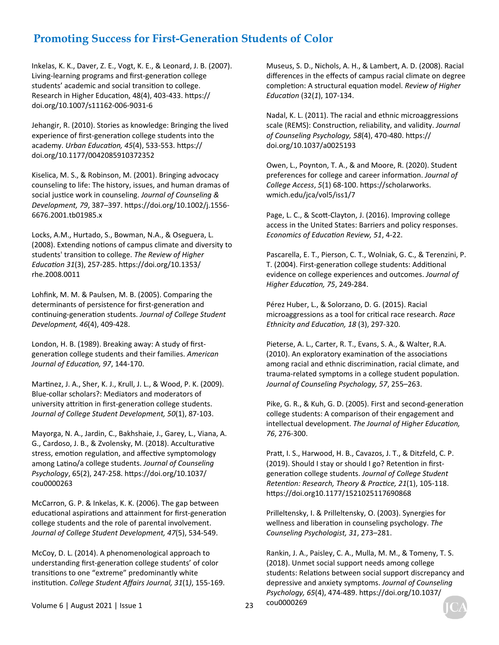Inkelas, K. K., Daver, Z. E., Vogt, K. E., & Leonard, J. B. (2007). Living-learning programs and first-generation college students' academic and social transition to college. Research in Higher Education, 48(4), 403-433. https:// doi.org/10.1007/s11162‐006‐9031‐6

Jehangir, R. (2010). Stories as knowledge: Bringing the lived experience of first-generation college students into the academy. *Urban EducaƟon, 45*(4), 533‐553. hƩps:// doi.org/10.1177/0042085910372352

Kiselica, M. S., & Robinson, M. (2001). Bringing advocacy counseling to life: The history, issues, and human dramas of social justice work in counseling. *Journal of Counseling & Development, 79*, 387–397. hƩps://doi.org/10.1002/j.1556‐ 6676.2001.tb01985.x

Locks, A.M., Hurtado, S., Bowman, N.A., & Oseguera, L. (2008). Extending notions of campus climate and diversity to students' transition to college. The Review of Higher *EducaƟon 31*(3), 257‐285. hƩps://doi.org/10.1353/ rhe.2008.0011

Lohfink, M. M. & Paulsen, M. B. (2005). Comparing the determinants of persistence for first-generation and conƟnuing‐generaƟon students. *Journal of College Student Development, 46*(4), 409‐428.

London, H. B. (1989). Breaking away: A study of first‐ generaƟon college students and their families. *American Journal of EducaƟon, 97*, 144‐170.

Martinez, J. A., Sher, K. J., Krull, J. L., & Wood, P. K. (2009). Blue‐collar scholars?: Mediators and moderators of university attrition in first-generation college students. *Journal of College Student Development, 50*(1), 87‐103.

Mayorga, N. A., Jardin, C., Bakhshaie, J., Garey, L., Viana, A. G., Cardoso, J. B., & Zvolensky, M. (2018). Acculturative stress, emotion regulation, and affective symptomology among Latino/a college students. *Journal of Counseling Psychology*, 65(2), 247‐258. hƩps://doi.org/10.1037/ cou0000263

McCarron, G. P. & Inkelas, K. K. (2006). The gap between educational aspirations and attainment for first-generation college students and the role of parental involvement. *Journal of College Student Development, 47*(5), 534‐549.

McCoy, D. L. (2014). A phenomenological approach to understanding first-generation college students' of color transitions to one "extreme" predominantly white insƟtuƟon. *College Student Affairs Journal, 31*(1*)*, 155‐169. Museus, S. D., Nichols, A. H., & Lambert, A. D. (2008). Racial differences in the effects of campus racial climate on degree completion: A structural equation model. *Review of Higher EducaƟon* (32(*1*), 107‐134.

Nadal, K. L. (2011). The racial and ethnic microaggressions scale (REMS): Construction, reliability, and validity. *Journal of Counseling Psychology, 58*(4), 470-480. https:// doi.org/10.1037/a0025193

Owen, L., Poynton, T. A., & and Moore, R. (2020). Student preferences for college and career information. Journal of *College Access*, *5*(1) 68‐100. hƩps://scholarworks. wmich.edu/jca/vol5/iss1/7

Page, L. C., & Scott-Clayton, J. (2016). Improving college access in the United States: Barriers and policy responses. *Economics of EducaƟon Review, 51*, 4‐22.

Pascarella, E. T., Pierson, C. T., Wolniak, G. C., & Terenzini, P. T. (2004). First-generation college students: Additional evidence on college experiences and outcomes. *Journal of Higher EducaƟon, 75*, 249‐284.

Pérez Huber, L., & Solorzano, D. G. (2015). Racial microaggressions as a tool for criƟcal race research. *Race Ethnicity and EducaƟon, 18* (3), 297‐320.

Pieterse, A. L., Carter, R. T., Evans, S. A., & Walter, R.A. (2010). An exploratory examination of the associations among racial and ethnic discrimination, racial climate, and trauma-related symptoms in a college student population. *Journal of Counseling Psychology, 57*, 255–263.

Pike, G. R., & Kuh, G. D. (2005). First and second-generation college students: A comparison of their engagement and intellectual development. The Journal of Higher Education, *76*, 276‐300.

Pratt, I. S., Harwood, H. B., Cavazos, J. T., & Ditzfeld, C. P. (2019). Should I stay or should I go? Retention in firstgeneraƟon college students. *Journal of College Student RetenƟon: Research, Theory & PracƟce, 21*(1), 105‐118. https://doi.org10.1177/1521025117690868

Prilleltensky, I. & Prilleltensky, O. (2003). Synergies for wellness and liberation in counseling psychology. The *Counseling Psychologist, 31*, 273–281.

Rankin, J. A., Paisley, C. A., Mulla, M. M., & Tomeny, T. S. (2018). Unmet social support needs among college students: Relations between social support discrepancy and depressive and anxiety symptoms. *Journal of Counseling Psychology, 65*(4), 474‐489. hƩps://doi.org/10.1037/ cou0000269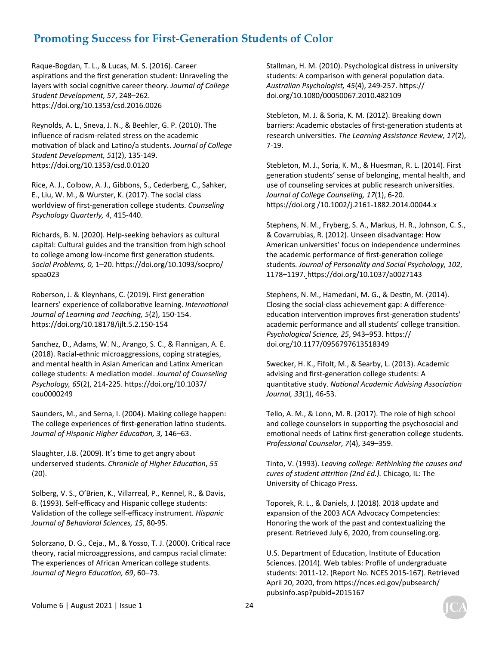Raque‐Bogdan, T. L., & Lucas, M. S. (2016). Career aspirations and the first generation student: Unraveling the layers with social cognitive career theory. Journal of College *Student Development, 57*, 248–262. https://doi.org/10.1353/csd.2016.0026

Reynolds, A. L., Sneva, J. N., & Beehler, G. P. (2010). The influence of racism‐related stress on the academic motivation of black and Latino/a students. *Journal of College Student Development, 51*(2), 135‐149. https://doi.org/10.1353/csd.0.0120

Rice, A. J., Colbow, A. J., Gibbons, S., Cederberg, C., Sahker, E., Liu, W. M., & Wurster, K. (2017). The social class worldview of first‐generaƟon college students. *Counseling Psychology Quarterly, 4*, 415‐440.

Richards, B. N. (2020). Help‐seeking behaviors as cultural capital: Cultural guides and the transition from high school to college among low-income first generation students. *Social Problems, 0,* 1–20. hƩps://doi.org/10.1093/socpro/ spaa023

Roberson, J. & Kleynhans, C. (2019). First generation learners' experience of collaborative learning. International *Journal of Learning and Teaching, 5*(2), 150‐154. hƩps://doi.org/10.18178/ijlt.5.2.150‐154

Sanchez, D., Adams, W. N., Arango, S. C., & Flannigan, A. E. (2018). Racial‐ethnic microaggressions, coping strategies, and mental health in Asian American and Latinx American college students: A mediaƟon model. *Journal of Counseling Psychology, 65*(2), 214‐225. hƩps://doi.org/10.1037/ cou0000249

Saunders, M., and Serna, I. (2004). Making college happen: The college experiences of first-generation latino students. *Journal of Hispanic Higher EducaƟon, 3,* 146–63.

Slaughter, J.B. (2009). It's time to get angry about underserved students. *Chronicle of Higher EducaƟon*, *55* (20).

Solberg, V. S., O'Brien, K., Villarreal, P., Kennel, R., & Davis, B. (1993). Self‐efficacy and Hispanic college students: ValidaƟon of the college self‐efficacy instrument. *Hispanic Journal of Behavioral Sciences, 15*, 80‐95.

Solorzano, D. G., Ceja., M., & Yosso, T. J. (2000). Critical race theory, racial microaggressions, and campus racial climate: The experiences of African American college students. *Journal of Negro EducaƟon, 69*, 60–73.

Stallman, H. M. (2010). Psychological distress in university students: A comparison with general population data. *Australian Psychologist, 45*(4), 249‐257. hƩps:// doi.org/10.1080/00050067.2010.482109

Stebleton, M. J. & Soria, K. M. (2012). Breaking down barriers: Academic obstacles of first-generation students at research universities. The Learning Assistance Review, 17(2), 7‐19.

Stebleton, M. J., Soria, K. M., & Huesman, R. L. (2014). First generation students' sense of belonging, mental health, and use of counseling services at public research universities. *Journal of College Counseling, 17*(1), 6‐20. https://doi.org /10.1002/j.2161-1882.2014.00044.x

Stephens, N. M., Fryberg, S. A., Markus, H. R., Johnson, C. S., & Covarrubias, R. (2012). Unseen disadvantage: How American universities' focus on independence undermines the academic performance of first-generation college students. *Journal of Personality and Social Psychology, 102*, 1178–1197. hƩps://doi.org/10.1037/a0027143

Stephens, N. M., Hamedani, M. G., & Destin, M. (2014). Closing the social‐class achievement gap: A difference‐ education intervention improves first-generation students' academic performance and all students' college transition. *Psychological Science, 25*, 943–953. hƩps:// doi.org/10.1177/0956797613518349

Swecker, H. K., Fifolt, M., & Searby, L. (2013). Academic advising and first-generation college students: A quanƟtaƟve study. *NaƟonal Academic Advising AssociaƟon Journal, 33*(1), 46‐53.

Tello, A. M., & Lonn, M. R. (2017). The role of high school and college counselors in supporting the psychosocial and emotional needs of Latinx first-generation college students. *Professional Counselor*, *7*(4), 349–359.

Tinto, V. (1993). *Leaving college: Rethinking the causes and cures of student aƩriƟon (2nd Ed.).* Chicago, IL: The University of Chicago Press.

Toporek, R. L., & Daniels, J. (2018). 2018 update and expansion of the 2003 ACA Advocacy Competencies: Honoring the work of the past and contextualizing the present. Retrieved July 6, 2020, from counseling.org.

U.S. Department of Education, Institute of Education Sciences. (2014). Web tables: Profile of undergraduate students: 2011‐12. (Report No. NCES 2015‐167). Retrieved April 20, 2020, from https://nces.ed.gov/pubsearch/ pubsinfo.asp?pubid=2015167